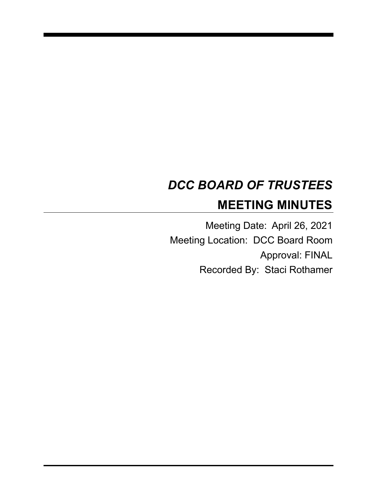# *DCC BOARD OF TRUSTEES* **MEETING MINUTES**

Meeting Date: April 26, 2021 Meeting Location: DCC Board Room Approval: FINAL Recorded By: Staci Rothamer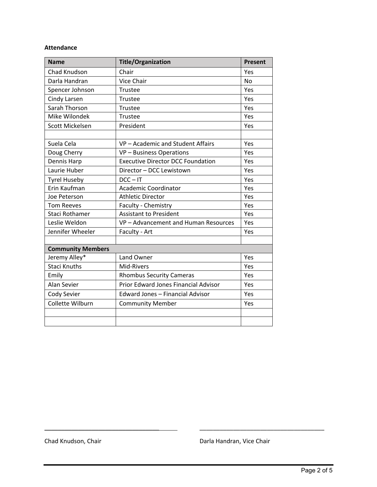#### **Attendance**

| <b>Name</b>              | <b>Title/Organization</b>                   | <b>Present</b> |
|--------------------------|---------------------------------------------|----------------|
| Chad Knudson             | Chair                                       | Yes            |
| Darla Handran            | <b>Vice Chair</b>                           | <b>No</b>      |
| Spencer Johnson          | Trustee                                     | Yes            |
| Cindy Larsen             | Trustee                                     | Yes            |
| Sarah Thorson            | <b>Trustee</b>                              | Yes            |
| Mike Wilondek            | Trustee                                     | Yes            |
| Scott Mickelsen          | President                                   | Yes            |
|                          |                                             |                |
| Suela Cela               | VP - Academic and Student Affairs           | Yes            |
| Doug Cherry              | VP - Business Operations                    | Yes            |
| Dennis Harp              | <b>Executive Director DCC Foundation</b>    | Yes            |
| Laurie Huber             | Director - DCC Lewistown                    | Yes            |
| <b>Tyrel Huseby</b>      | $DCC - IT$                                  | Yes            |
| Erin Kaufman             | <b>Academic Coordinator</b>                 | Yes            |
| Joe Peterson             | <b>Athletic Director</b>                    | Yes            |
| <b>Tom Reeves</b>        | Faculty - Chemistry                         | Yes            |
| Staci Rothamer           | <b>Assistant to President</b>               | Yes            |
| Leslie Weldon            | VP-Advancement and Human Resources          | Yes            |
| Jennifer Wheeler         | Faculty - Art                               | Yes            |
|                          |                                             |                |
| <b>Community Members</b> |                                             |                |
| Jeremy Alley*            | Land Owner                                  | Yes            |
| <b>Staci Knuths</b>      | Mid-Rivers                                  | Yes            |
| Emily                    | <b>Rhombus Security Cameras</b>             | Yes            |
| <b>Alan Sevier</b>       | <b>Prior Edward Jones Financial Advisor</b> | Yes            |
| Cody Sevier              | <b>Edward Jones - Financial Advisor</b>     | Yes            |
| Collette Wilburn         | <b>Community Member</b>                     | Yes            |
|                          |                                             |                |
|                          |                                             |                |

\_\_\_\_\_\_\_\_\_\_\_\_\_\_\_\_\_\_\_\_\_\_\_\_\_\_\_\_\_\_\_\_\_\_ \_\_\_\_\_\_\_\_\_\_\_\_\_\_\_\_\_\_\_\_\_\_\_\_\_\_\_\_\_\_\_\_\_\_\_\_\_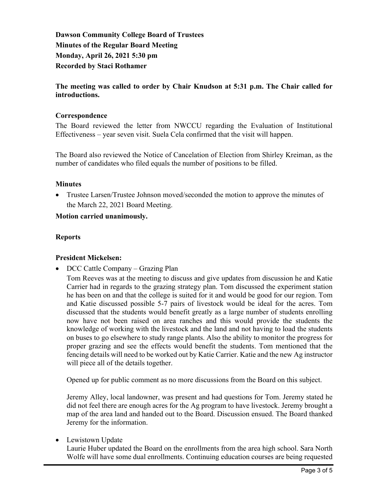**Dawson Community College Board of Trustees Minutes of the Regular Board Meeting Monday, April 26, 2021 5:30 pm Recorded by Staci Rothamer**

**The meeting was called to order by Chair Knudson at 5:31 p.m. The Chair called for introductions.**

## **Correspondence**

The Board reviewed the letter from NWCCU regarding the Evaluation of Institutional Effectiveness – year seven visit. Suela Cela confirmed that the visit will happen.

The Board also reviewed the Notice of Cancelation of Election from Shirley Kreiman, as the number of candidates who filed equals the number of positions to be filled.

## **Minutes**

• Trustee Larsen/Trustee Johnson moved/seconded the motion to approve the minutes of the March 22, 2021 Board Meeting.

## **Motion carried unanimously.**

## **Reports**

# **President Mickelsen:**

• DCC Cattle Company – Grazing Plan

Tom Reeves was at the meeting to discuss and give updates from discussion he and Katie Carrier had in regards to the grazing strategy plan. Tom discussed the experiment station he has been on and that the college is suited for it and would be good for our region. Tom and Katie discussed possible 5-7 pairs of livestock would be ideal for the acres. Tom discussed that the students would benefit greatly as a large number of students enrolling now have not been raised on area ranches and this would provide the students the knowledge of working with the livestock and the land and not having to load the students on buses to go elsewhere to study range plants. Also the ability to monitor the progress for proper grazing and see the effects would benefit the students. Tom mentioned that the fencing details will need to be worked out by Katie Carrier. Katie and the new Ag instructor will piece all of the details together.

Opened up for public comment as no more discussions from the Board on this subject.

Jeremy Alley, local landowner, was present and had questions for Tom. Jeremy stated he did not feel there are enough acres for the Ag program to have livestock. Jeremy brought a map of the area land and handed out to the Board. Discussion ensued. The Board thanked Jeremy for the information.

• Lewistown Update

Laurie Huber updated the Board on the enrollments from the area high school. Sara North Wolfe will have some dual enrollments. Continuing education courses are being requested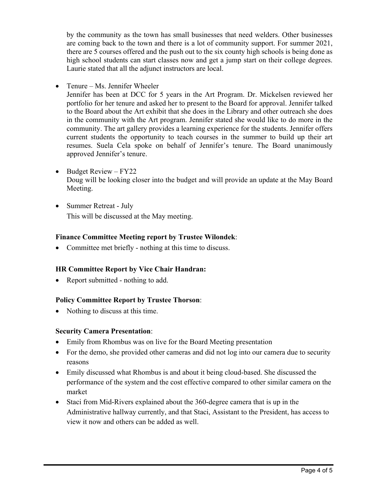by the community as the town has small businesses that need welders. Other businesses are coming back to the town and there is a lot of community support. For summer 2021, there are 5 courses offered and the push out to the six county high schools is being done as high school students can start classes now and get a jump start on their college degrees. Laurie stated that all the adjunct instructors are local.

• Tenure – Ms. Jennifer Wheeler

Jennifer has been at DCC for 5 years in the Art Program. Dr. Mickelsen reviewed her portfolio for her tenure and asked her to present to the Board for approval. Jennifer talked to the Board about the Art exhibit that she does in the Library and other outreach she does in the community with the Art program. Jennifer stated she would like to do more in the community. The art gallery provides a learning experience for the students. Jennifer offers current students the opportunity to teach courses in the summer to build up their art resumes. Suela Cela spoke on behalf of Jennifer's tenure. The Board unanimously approved Jennifer's tenure.

- Budget Review FY22 Doug will be looking closer into the budget and will provide an update at the May Board Meeting.
- Summer Retreat July This will be discussed at the May meeting.

## **Finance Committee Meeting report by Trustee Wilondek**:

• Committee met briefly - nothing at this time to discuss.

#### **HR Committee Report by Vice Chair Handran:**

• Report submitted - nothing to add.

#### **Policy Committee Report by Trustee Thorson**:

• Nothing to discuss at this time.

#### **Security Camera Presentation**:

- Emily from Rhombus was on live for the Board Meeting presentation
- For the demo, she provided other cameras and did not log into our camera due to security reasons
- Emily discussed what Rhombus is and about it being cloud-based. She discussed the performance of the system and the cost effective compared to other similar camera on the market
- Staci from Mid-Rivers explained about the 360-degree camera that is up in the Administrative hallway currently, and that Staci, Assistant to the President, has access to view it now and others can be added as well.